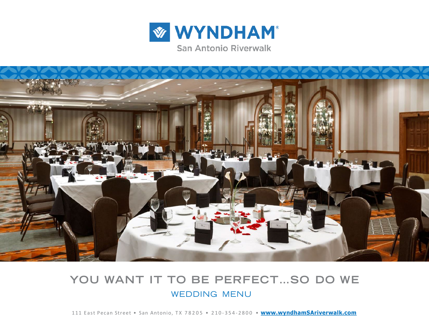



# **YOU WANT IT TO BE PERFECT…SO DO WE** WEDDING MENU

111 East Pecan Street • San Antonio, TX 78205 • 210-354-2800 • **[www.wyndhamSAriverwalk.com](http://www.wyndhamSAriverwalk.com/)**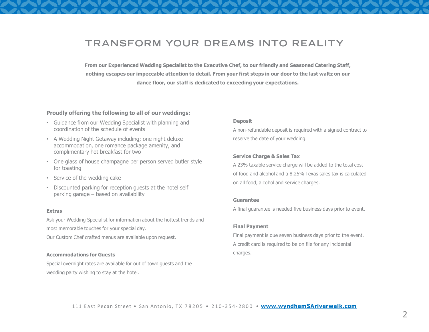# **TRANSFORM YOUR DREAMS INTO REALITY**

**From our Experienced Wedding Specialist to the Executive Chef, to our friendly and Seasoned Catering Staff, nothing escapes our impeccable attention to detail. From your first steps in our door to the last waltz on our dance floor, our staff is dedicated to exceeding your expectations.**

#### **Proudly offering the following to all of our weddings:**

- Guidance from our Wedding Specialist with planning and coordination of the schedule of events
- A Wedding Night Getaway including; one night deluxe accommodation, one romance package amenity, and complimentary hot breakfast for two
- One glass of house champagne per person served butler style for toasting
- Service of the wedding cake
- Discounted parking for reception guests at the hotel self parking garage – based on availability

#### **Extras**

Ask your Wedding Specialist for information about the hottest trends and most memorable touches for your special day.

Our Custom Chef crafted menus are available upon request.

#### **Accommodations for Guests**

Special overnight rates are available for out of town guests and the wedding party wishing to stay at the hotel.

#### **Deposit**

A non-refundable deposit is required with a signed contract to reserve the date of your wedding.

#### **Service Charge & Sales Tax**

A 23% taxable service charge will be added to the total cost of food and alcohol and a 8.25% Texas sales tax is calculated on all food, alcohol and service charges.

#### **Guarantee**

A final guarantee is needed five business days prior to event.

#### **Final Payment**

Final payment is due seven business days prior to the event. A credit card is required to be on file for any incidental charges.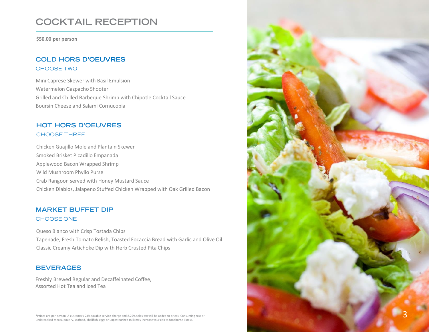# **COCKTAIL RECEPTION**

**\$50.00 per person**

## **COLD HORS D'OEUVRES** CHOOSE TWO

Mini Caprese Skewer with Basil Emulsion Watermelon Gazpacho Shooter Grilled and Chilled Barbeque Shrimp with Chipotle Cocktail Sauce Boursin Cheese and Salami Cornucopia

## **HOT HORS D'OEUVRES** CHOOSE THREE

Chicken Guajillo Mole and Plantain Skewer Smoked Brisket Picadillo Empanada Applewood Bacon Wrapped Shrimp Wild Mushroom Phyllo Purse Crab Rangoon served with Honey Mustard Sauce Chicken Diablos, Jalapeno Stuffed Chicken Wrapped with Oak Grilled Bacon

## **MARKET BUFFET DIP** CHOOSE ONE

Queso Blanco with Crisp Tostada Chips Tapenade, Fresh Tomato Relish, Toasted Focaccia Bread with Garlic and Olive Oil Classic Creamy Artichoke Dip with Herb Crusted Pita Chips

## **BEVERAGES**

Freshly Brewed Regular and Decaffeinated Coffee, Assorted Hot Tea and Iced Tea

\*Prices are per person. A customary 23% taxable service charge and 8.25% sales tax will be added to prices. Consuming raw or undercooked meats, poultry, seafood, shellfish, eggs or unpasteurized milk may increase your risk to foodborne illness.

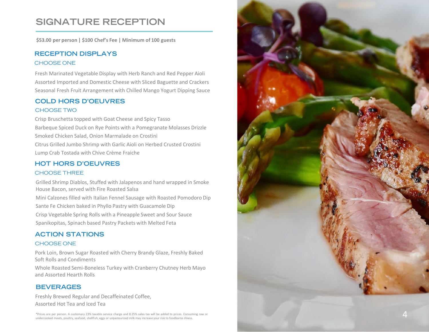# **SIGNATURE RECEPTION**

**\$53.00 per person | \$100 Chef's Fee | Minimum of 100 guests**

## **RECEPTION DISPLAYS** CHOOSE ONE

Fresh Marinated Vegetable Display with Herb Ranch and Red Pepper Aioli Assorted Imported and Domestic Cheese with Sliced Baguette and Crackers Seasonal Fresh Fruit Arrangement with Chilled Mango Yogurt Dipping Sauce

# **COLD HORS D'OEUVRES**

### CHOOSE TWO

Crisp Bruschetta topped with Goat Cheese and Spicy Tasso Barbeque Spiced Duck on Rye Points with a Pomegranate Molasses Drizzle Smoked Chicken Salad, Onion Marmalade on Crostini Citrus Grilled Jumbo Shrimp with Garlic Aioli on Herbed Crusted Crostini Lump Crab Tostada with Chive Crème Fraiche

## **HOT HORS D'OEUVRES**

### CHOOSE THREE

Grilled Shrimp Diablos, Stuffed with Jalapenos and hand wrapped in Smoke House Bacon, served with Fire Roasted Salsa

Mini Calzones filled with Italian Fennel Sausage with Roasted Pomodoro Dip Sante Fe Chicken baked in Phyllo Pastry with Guacamole Dip Crisp Vegetable Spring Rolls with a Pineapple Sweet and Sour Sauce Spanikopitas, Spinach based Pastry Packets with Melted Feta

# **ACTION STATIONS**

### CHOOSE ONE

Pork Loin, Brown Sugar Roasted with Cherry Brandy Glaze, Freshly Baked Soft Rolls and Condiments

Whole Roasted Semi-Boneless Turkey with Cranberry Chutney Herb Mayo and Assorted Hearth Rolls

## **BEVERAGES**

Freshly Brewed Regular and Decaffeinated Coffee, Assorted Hot Tea and Iced Tea

\*Prices are per person. A customary 23% taxable service charge and 8.25% sales tax will be added to prices. Consuming raw or undercooked meats, poultry, seafood, shellfish, eggs or unpasteurized milk may increase your risk to foodborne illness .

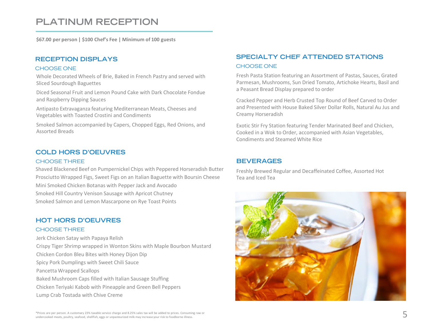# **PLATINUM RECEPTION**

**\$67.00 per person | \$100 Chef's Fee | Minimum of 100 guests**

### **RECEPTION DISPLAYS**

#### CHOOSE ONE

Whole Decorated Wheels of Brie, Baked in French Pastry and served with Sliced Sourdough Baguettes

Diced Seasonal Fruit and Lemon Pound Cake with Dark Chocolate Fondue and Raspberry Dipping Sauces

Antipasto Extravaganza featuring Mediterranean Meats, Cheeses and Vegetables with Toasted Crostini and Condiments

Smoked Salmon accompanied by Capers, Chopped Eggs, Red Onions, and Assorted Breads

### **COLD HORS D'OEUVRES**

#### CHOOSE THREE

Shaved Blackened Beef on Pumpernickel Chips with Peppered Horseradish Butter Prosciutto Wrapped Figs, Sweet Figs on an Italian Baguette with Boursin Cheese Mini Smoked Chicken Botanas with Pepper Jack and Avocado Smoked Hill Country Venison Sausage with Apricot Chutney Smoked Salmon and Lemon Mascarpone on Rye Toast Points

### **HOT HORS D'OEUVRES**

#### CHOOSE THREE

Jerk Chicken Satay with Papaya Relish Crispy Tiger Shrimp wrapped in Wonton Skins with Maple Bourbon Mustard Chicken Cordon Bleu Bites with Honey Dijon Dip Spicy Pork Dumplings with Sweet Chili Sauce Pancetta Wrapped Scallops Baked Mushroom Caps filled with Italian Sausage Stuffing Chicken Teriyaki Kabob with Pineapple and Green Bell Peppers Lump Crab Tostada with Chive Creme

## **SPECIALTY CHEF ATTENDED STATIONS** CHOOSE ONE

Fresh Pasta Station featuring an Assortment of Pastas, Sauces, Grated Parmesan, Mushrooms, Sun Dried Tomato, Artichoke Hearts, Basil and a Peasant Bread Display prepared to order

Cracked Pepper and Herb Crusted Top Round of Beef Carved to Order and Presented with House Baked Silver Dollar Rolls, Natural Au Jus and Creamy Horseradish

Exotic Stir Fry Station featuring Tender Marinated Beef and Chicken, Cooked in a Wok to Order, accompanied with Asian Vegetables, Condiments and Steamed White Rice

#### **BEVERAGES**

Freshly Brewed Regular and Decaffeinated Coffee, Assorted Hot Tea and Iced Tea